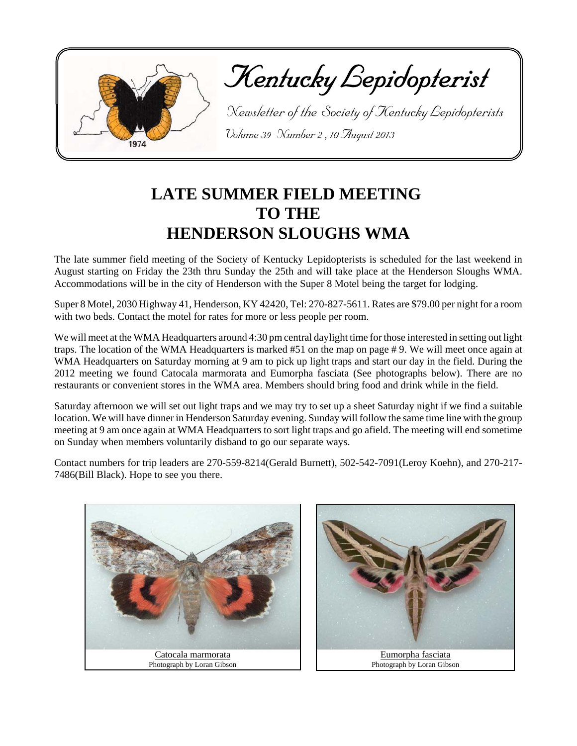

Kentucky Lepidopterist

 Newsletter of the Society of Kentucky Lepidopterists Volume 39 Number 2 , 10 August 2013

## **LATE SUMMER FIELD MEETING TO THE HENDERSON SLOUGHS WMA**

The late summer field meeting of the Society of Kentucky Lepidopterists is scheduled for the last weekend in August starting on Friday the 23th thru Sunday the 25th and will take place at the Henderson Sloughs WMA. Accommodations will be in the city of Henderson with the Super 8 Motel being the target for lodging.

Super 8 Motel, 2030 Highway 41, Henderson, KY 42420, Tel: 270-827-5611. Rates are \$79.00 per night for a room with two beds. Contact the motel for rates for more or less people per room.

We will meet at the WMA Headquarters around 4:30 pm central daylight time for those interested in setting out light traps. The location of the WMA Headquarters is marked #51 on the map on page # 9. We will meet once again at WMA Headquarters on Saturday morning at 9 am to pick up light traps and start our day in the field. During the 2012 meeting we found Catocala marmorata and Eumorpha fasciata (See photographs below). There are no restaurants or convenient stores in the WMA area. Members should bring food and drink while in the field.

Saturday afternoon we will set out light traps and we may try to set up a sheet Saturday night if we find a suitable location. We will have dinner in Henderson Saturday evening. Sunday will follow the same time line with the group meeting at 9 am once again at WMA Headquarters to sort light traps and go afield. The meeting will end sometime on Sunday when members voluntarily disband to go our separate ways.

Contact numbers for trip leaders are 270-559-8214(Gerald Burnett), 502-542-7091(Leroy Koehn), and 270-217- 7486(Bill Black). Hope to see you there.



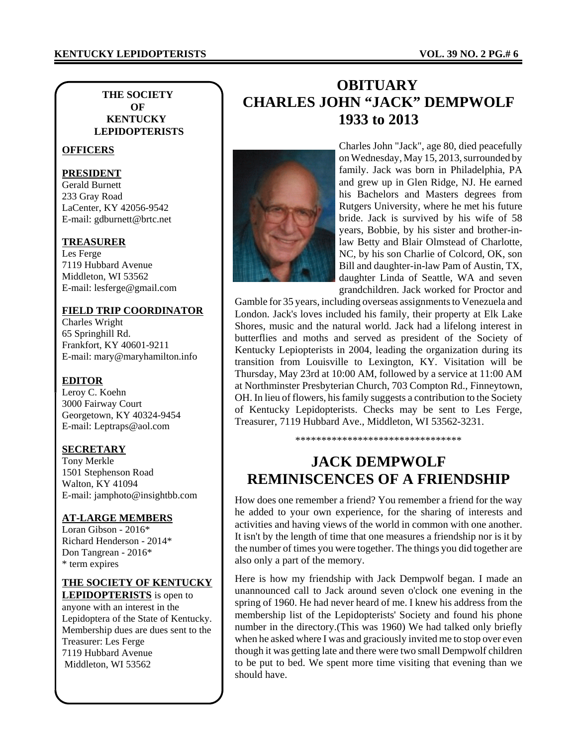### **KENTUCKY LEPIDOPTERISTS VOL. 39 NO. 2 PG.# 6**

### **THE SOCIETY OF KENTUCKY LEPIDOPTERISTS**

### **OFFICERS**

#### **PRESIDENT**

Gerald Burnett 233 Gray Road LaCenter, KY 42056-9542 E-mail: gdburnett@brtc.net

#### **TREASURER**

Les Ferge 7119 Hubbard Avenue Middleton, WI 53562 E-mail: lesferge@gmail.com

### **FIELD TRIP COORDINATOR**

Charles Wright 65 Springhill Rd. Frankfort, KY 40601-9211 E-mail: mary@maryhamilton.info

#### **EDITOR**

Leroy C. Koehn 3000 Fairway Court Georgetown, KY 40324-9454 E-mail: Leptraps@aol.com

#### **SECRETARY**

Tony Merkle 1501 Stephenson Road Walton, KY 41094 E-mail: jamphoto@insightbb.com

#### **AT-LARGE MEMBERS**

Loran Gibson - 2016\* Richard Henderson - 2014\* Don Tangrean - 2016\* \* term expires

#### **THE SOCIETY OF KENTUCKY**

**LEPIDOPTERISTS** is open to anyone with an interest in the Lepidoptera of the State of Kentucky. Membership dues are dues sent to the Treasurer: Les Ferge 7119 Hubbard Avenue Middleton, WI 53562

### **OBITUARY CHARLES JOHN "JACK" DEMPWOLF 1933 to 2013**



Charles John "Jack", age 80, died peacefully on Wednesday, May 15, 2013, surrounded by family. Jack was born in Philadelphia, PA and grew up in Glen Ridge, NJ. He earned his Bachelors and Masters degrees from Rutgers University, where he met his future bride. Jack is survived by his wife of 58 years, Bobbie, by his sister and brother-inlaw Betty and Blair Olmstead of Charlotte, NC, by his son Charlie of Colcord, OK, son Bill and daughter-in-law Pam of Austin, TX, daughter Linda of Seattle, WA and seven grandchildren. Jack worked for Proctor and

Gamble for 35 years, including overseas assignments to Venezuela and London. Jack's loves included his family, their property at Elk Lake Shores, music and the natural world. Jack had a lifelong interest in butterflies and moths and served as president of the Society of Kentucky Lepiopterists in 2004, leading the organization during its transition from Louisville to Lexington, KY. Visitation will be Thursday, May 23rd at 10:00 AM, followed by a service at 11:00 AM at Northminster Presbyterian Church, 703 Compton Rd., Finneytown, OH. In lieu of flowers, his family suggests a contribution to the Society of Kentucky Lepidopterists. Checks may be sent to Les Ferge, Treasurer, 7119 Hubbard Ave., Middleton, WI 53562-3231.

\*\*\*\*\*\*\*\*\*\*\*\*\*\*\*\*\*\*\*\*\*\*\*\*\*\*\*\*\*\*\*\*

### **JACK DEMPWOLF REMINISCENCES OF A FRIENDSHIP**

How does one remember a friend? You remember a friend for the way he added to your own experience, for the sharing of interests and activities and having views of the world in common with one another. It isn't by the length of time that one measures a friendship nor is it by the number of times you were together. The things you did together are also only a part of the memory.

Here is how my friendship with Jack Dempwolf began. I made an unannounced call to Jack around seven o'clock one evening in the spring of 1960. He had never heard of me. I knew his address from the membership list of the Lepidopterists' Society and found his phone number in the directory.(This was 1960) We had talked only briefly when he asked where I was and graciously invited me to stop over even though it was getting late and there were two small Dempwolf children to be put to bed. We spent more time visiting that evening than we should have.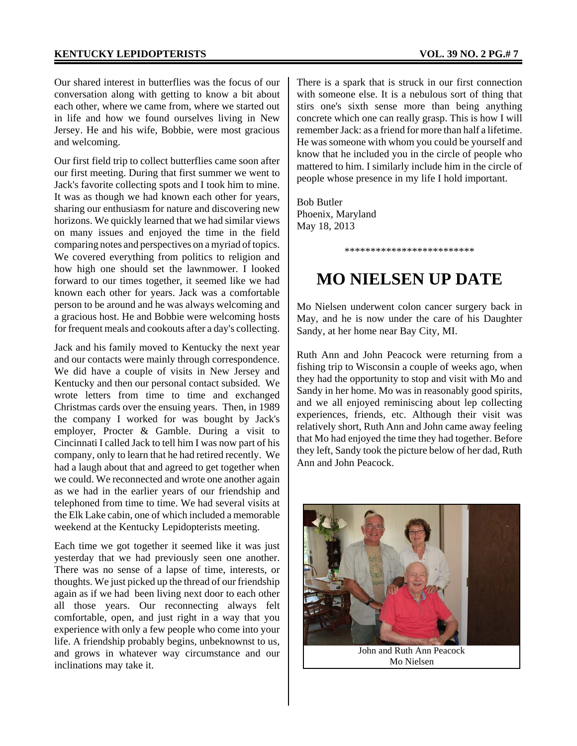Our shared interest in butterflies was the focus of our conversation along with getting to know a bit about each other, where we came from, where we started out in life and how we found ourselves living in New Jersey. He and his wife, Bobbie, were most gracious and welcoming.

Our first field trip to collect butterflies came soon after our first meeting. During that first summer we went to Jack's favorite collecting spots and I took him to mine. It was as though we had known each other for years, sharing our enthusiasm for nature and discovering new horizons. We quickly learned that we had similar views on many issues and enjoyed the time in the field comparing notes and perspectives on a myriad of topics. We covered everything from politics to religion and how high one should set the lawnmower. I looked forward to our times together, it seemed like we had known each other for years. Jack was a comfortable person to be around and he was always welcoming and a gracious host. He and Bobbie were welcoming hosts for frequent meals and cookouts after a day's collecting.

Jack and his family moved to Kentucky the next year and our contacts were mainly through correspondence. We did have a couple of visits in New Jersey and Kentucky and then our personal contact subsided. We wrote letters from time to time and exchanged Christmas cards over the ensuing years. Then, in 1989 the company I worked for was bought by Jack's employer, Procter & Gamble. During a visit to Cincinnati I called Jack to tell him I was now part of his company, only to learn that he had retired recently. We had a laugh about that and agreed to get together when we could. We reconnected and wrote one another again as we had in the earlier years of our friendship and telephoned from time to time. We had several visits at the Elk Lake cabin, one of which included a memorable weekend at the Kentucky Lepidopterists meeting.

Each time we got together it seemed like it was just yesterday that we had previously seen one another. There was no sense of a lapse of time, interests, or thoughts. We just picked up the thread of our friendship again as if we had been living next door to each other all those years. Our reconnecting always felt comfortable, open, and just right in a way that you experience with only a few people who come into your life. A friendship probably begins, unbeknownst to us, and grows in whatever way circumstance and our inclinations may take it.

There is a spark that is struck in our first connection with someone else. It is a nebulous sort of thing that stirs one's sixth sense more than being anything concrete which one can really grasp. This is how I will remember Jack: as a friend for more than half a lifetime. He was someone with whom you could be yourself and know that he included you in the circle of people who mattered to him. I similarly include him in the circle of people whose presence in my life I hold important.

Bob Butler Phoenix, Maryland May 18, 2013

\*\*\*\*\*\*\*\*\*\*\*\*\*\*\*\*\*\*\*\*\*\*\*\*\*

## **MO NIELSEN UP DATE**

Mo Nielsen underwent colon cancer surgery back in May, and he is now under the care of his Daughter Sandy, at her home near Bay City, MI.

Ruth Ann and John Peacock were returning from a fishing trip to Wisconsin a couple of weeks ago, when they had the opportunity to stop and visit with Mo and Sandy in her home. Mo was in reasonably good spirits, and we all enjoyed reminiscing about lep collecting experiences, friends, etc. Although their visit was relatively short, Ruth Ann and John came away feeling that Mo had enjoyed the time they had together. Before they left, Sandy took the picture below of her dad, Ruth Ann and John Peacock.



Mo Nielsen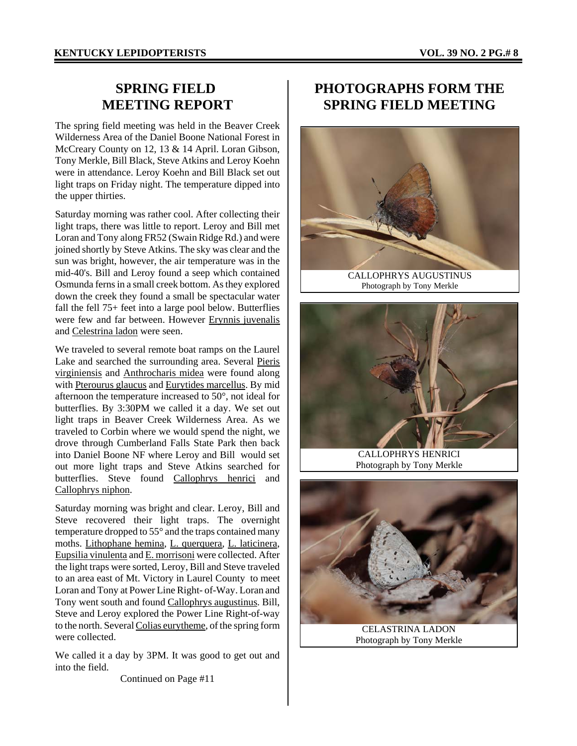### **SPRING FIELD MEETING REPORT**

The spring field meeting was held in the Beaver Creek Wilderness Area of the Daniel Boone National Forest in McCreary County on 12, 13 & 14 April. Loran Gibson, Tony Merkle, Bill Black, Steve Atkins and Leroy Koehn were in attendance. Leroy Koehn and Bill Black set out light traps on Friday night. The temperature dipped into the upper thirties.

Saturday morning was rather cool. After collecting their light traps, there was little to report. Leroy and Bill met Loran and Tony along FR52 (Swain Ridge Rd.) and were joined shortly by Steve Atkins. The sky was clear and the sun was bright, however, the air temperature was in the mid-40's. Bill and Leroy found a seep which contained Osmunda ferns in a small creek bottom. As they explored down the creek they found a small be spectacular water fall the fell 75+ feet into a large pool below. Butterflies were few and far between. However Erynnis juvenalis and Celestrina ladon were seen.

We traveled to several remote boat ramps on the Laurel Lake and searched the surrounding area. Several Pieris virginiensis and Anthrocharis midea were found along with Pterourus glaucus and Eurytides marcellus. By mid afternoon the temperature increased to 50°, not ideal for butterflies. By 3:30PM we called it a day. We set out light traps in Beaver Creek Wilderness Area. As we traveled to Corbin where we would spend the night, we drove through Cumberland Falls State Park then back into Daniel Boone NF where Leroy and Bill would set out more light traps and Steve Atkins searched for butterflies. Steve found Callophrys henrici and Callophrys niphon.

Saturday morning was bright and clear. Leroy, Bill and Steve recovered their light traps. The overnight temperature dropped to 55° and the traps contained many moths. Lithophane hemina, L. querquera, L. laticinera, Eupsilia vinulenta and E. morrisoni were collected. After the light traps were sorted, Leroy, Bill and Steve traveled to an area east of Mt. Victory in Laurel County to meet Loran and Tony at Power Line Right- of-Way. Loran and Tony went south and found Callophrys augustinus. Bill, Steve and Leroy explored the Power Line Right-of-way to the north. Several Colias eurytheme, of the spring form were collected.

We called it a day by 3PM. It was good to get out and into the field.

Continued on Page #11

### **PHOTOGRAPHS FORM THE SPRING FIELD MEETING**



Photograph by Tony Merkle



CALLOPHRYS HENRICI Photograph by Tony Merkle



Photograph by Tony Merkle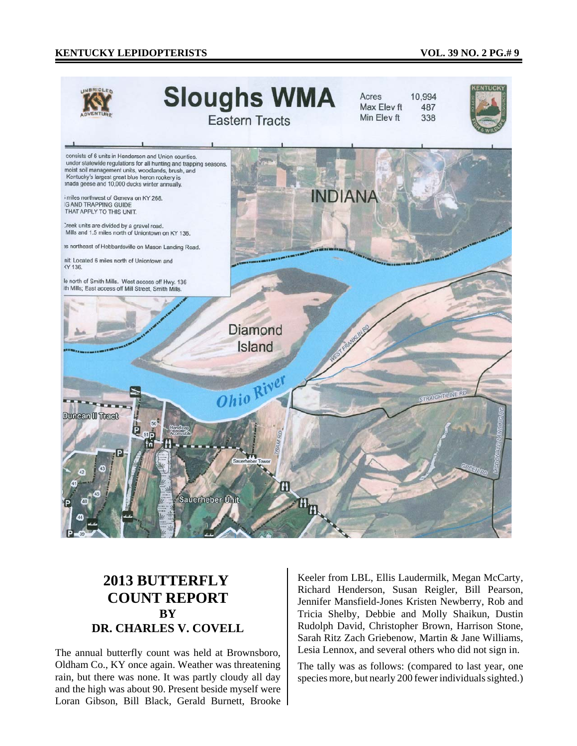#### **KENTUCKY LEPIDOPTERISTS VOL. 39 NO. 2 PG.# 9**



### **2013 BUTTERFLY COUNT REPORT BY DR. CHARLES V. COVELL**

The annual butterfly count was held at Brownsboro, Oldham Co., KY once again. Weather was threatening rain, but there was none. It was partly cloudy all day and the high was about 90. Present beside myself were Loran Gibson, Bill Black, Gerald Burnett, Brooke Keeler from LBL, Ellis Laudermilk, Megan McCarty, Richard Henderson, Susan Reigler, Bill Pearson, Jennifer Mansfield-Jones Kristen Newberry, Rob and Tricia Shelby, Debbie and Molly Shaikun, Dustin Rudolph David, Christopher Brown, Harrison Stone, Sarah Ritz Zach Griebenow, Martin & Jane Williams, Lesia Lennox, and several others who did not sign in.

The tally was as follows: (compared to last year, one species more, but nearly 200 fewer individuals sighted.)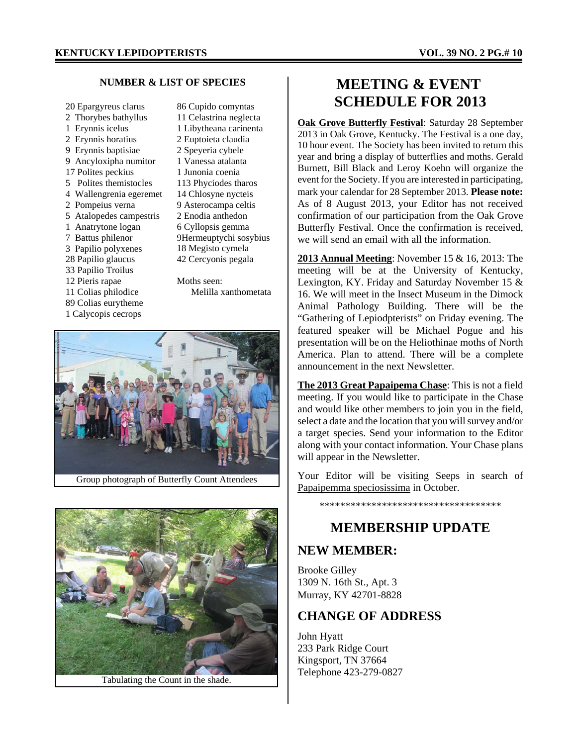#### **NUMBER & LIST OF SPECIES**

- 20 Epargyreus clarus 2 Thorybes bathyllus 1 Erynnis icelus 2 Erynnis horatius 9 Erynnis baptisiae 9 Ancyloxipha numitor 17 Polites peckius 5 Polites themistocles 4 Wallengrenia egeremet 2 Pompeius verna 5 Atalopedes campestris 1 Anatrytone logan 7 Battus philenor 3 Papilio polyxenes 28 Papilio glaucus 33 Papilio Troilus 12 Pieris rapae 11 Colias philodice 89 Colias eurytheme 1 Calycopis cecrops 86 Cupido comyntas 11 Celastrina neglecta 1 Libytheana carinenta
	- 2 Euptoieta claudia 2 Speyeria cybele 1 Vanessa atalanta 1 Junonia coenia 113 Phyciodes tharos 14 Chlosyne nycteis 9 Asterocampa celtis 2 Enodia anthedon 6 Cyllopsis gemma 9Hermeuptychi sosybius 18 Megisto cymela 42 Cercyonis pegala Moths seen: Melilla xanthometata





Tabulating the Count in the shade.

### **MEETING & EVENT SCHEDULE FOR 2013**

**Oak Grove Butterfly Festival**: Saturday 28 September 2013 in Oak Grove, Kentucky. The Festival is a one day, 10 hour event. The Society has been invited to return this year and bring a display of butterflies and moths. Gerald Burnett, Bill Black and Leroy Koehn will organize the event for the Society. If you are interested in participating, mark your calendar for 28 September 2013. **Please note:** As of 8 August 2013, your Editor has not received confirmation of our participation from the Oak Grove Butterfly Festival. Once the confirmation is received, we will send an email with all the information.

**2013 Annual Meeting**: November 15 & 16, 2013: The meeting will be at the University of Kentucky, Lexington, KY. Friday and Saturday November 15 & 16. We will meet in the Insect Museum in the Dimock Animal Pathology Building. There will be the "Gathering of Lepiodpterists" on Friday evening. The featured speaker will be Michael Pogue and his presentation will be on the Heliothinae moths of North America. Plan to attend. There will be a complete announcement in the next Newsletter.

**The 2013 Great Papaipema Chase**: This is not a field meeting. If you would like to participate in the Chase and would like other members to join you in the field, select a date and the location that you will survey and/or a target species. Send your information to the Editor along with your contact information. Your Chase plans will appear in the Newsletter.

Your Editor will be visiting Seeps in search of Papaipemma speciosissima in October.

\*\*\*\*\*\*\*\*\*\*\*\*\*\*\*\*\*\*\*\*\*\*\*\*\*\*\*\*\*\*\*\*\*\*\*

### **MEMBERSHIP UPDATE**

### **NEW MEMBER:**

Brooke Gilley 1309 N. 16th St., Apt. 3 Murray, KY 42701-8828

### **CHANGE OF ADDRESS**

John Hyatt 233 Park Ridge Court Kingsport, TN 37664 Telephone 423-279-0827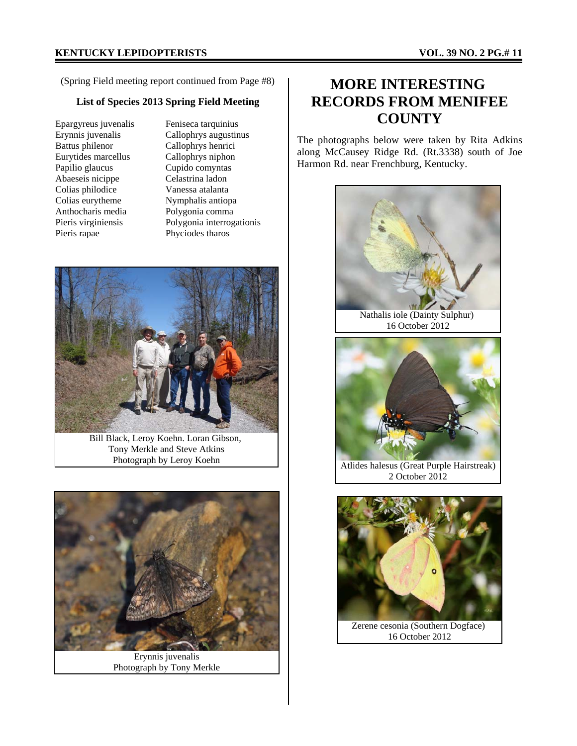(Spring Field meeting report continued from Page #8) **MORE INTERESTING** 

### **List of Species 2013 Spring Field Meeting**

Epargyreus juvenalis Erynnis juvenalis Battus philenor Eurytides marcellus Papilio glaucus Abaeseis nicippe Colias philodice Colias eurytheme Anthocharis media Pieris virginiensis Pieris rapae

Feniseca tarquinius Callophrys augustinus Callophrys henrici Callophrys niphon Cupido comyntas Celastrina ladon Vanessa atalanta Nymphalis antiopa Polygonia comma Polygonia interrogationis Phyciodes tharos



Bill Black, Leroy Koehn. Loran Gibson, Tony Merkle and Steve Atkins Photograph by Leroy Koehn



Erynnis juvenalis Photograph by Tony Merkle

# **RECORDS FROM MENIFEE COUNTY**

The photographs below were taken by Rita Adkins along McCausey Ridge Rd. (Rt.3338) south of Joe Harmon Rd. near Frenchburg, Kentucky.



Atlides halesus (Great Purple Hairstreak) 2 October 2012



16 October 2012